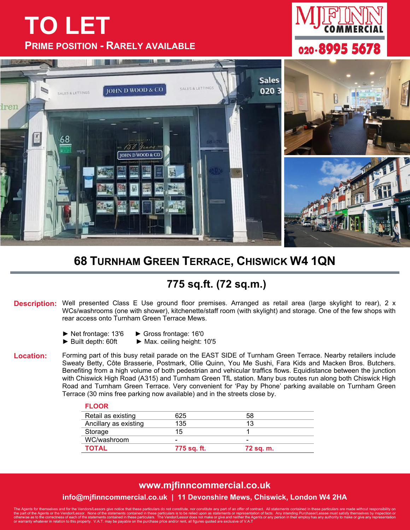## **TO LET PRIME POSITION - RARELY AVAILABLE**





## **68 TURNHAM GREEN TERRACE, CHISWICK W4 1QN**

## **775 sq.ft. (72 sq.m.)**

**Description:** Well presented Class E Use ground floor premises. Arranged as retail area (large skylight to rear), 2 x WCs/washrooms (one with shower), kitchenette/staff room (with skylight) and storage. One of the few shops with rear access onto Turnham Green Terrace Mews.

- ► Net frontage: 13'6 ► Gross frontage: 16'0
	-
- ► Built depth: 60ft ► Max. ceiling height: 10'5

**Location:** Forming part of this busy retail parade on the EAST SIDE of Turnham Green Terrace. Nearby retailers include Sweaty Betty, Côte Brasserie, Postmark, Ollie Quinn, You Me Sushi, Fara Kids and Macken Bros. Butchers. Benefiting from a high volume of both pedestrian and vehicular traffics flows. Equidistance between the junction with Chiswick High Road (A315) and Turnham Green TfL station. Many bus routes run along both Chiswick High Road and Turnham Green Terrace. Very convenient for 'Pay by Phone' parking available on Turnham Green Terrace (30 mins free parking now available) and in the streets close by.

| <b>FLOOR</b>          |             |           |  |
|-----------------------|-------------|-----------|--|
| Retail as existing    | 625         | 58        |  |
| Ancillary as existing | 135         | 13        |  |
| Storage               | 15          |           |  |
| WC/washroom           | -           |           |  |
| <b>TOTAL</b>          | 775 sq. ft. | 72 sq. m. |  |

## **www.mjfinncommercial.co.uk info@mjfinncommercial.co.uk | 11 Devonshire Mews, Chiswick, London W4 2HA**

The Agents for themselves and for the Vendors/Lessors give notice that these particulars do not constitute, nor constitute any part of an offer of contract. All statements contained in these particulars are made without re the part of the Agents or the Vendor/Lessor. None of the statements contained in these particulars is to be relied upon as statements or representation of facts. Any intending Purchaser/Lessee must satisfy themselves by in otherwise as to the correctness of each of the statements contained in these particulars. The Vendor/Lessor does not make or give and neither the Agents or any person in their employ has any authority to make or give any r or warranty whatever in relation to this property. V.A.T. may be payable on the purchase price and/or rent, all figures quoted are exclusive of V.A.T